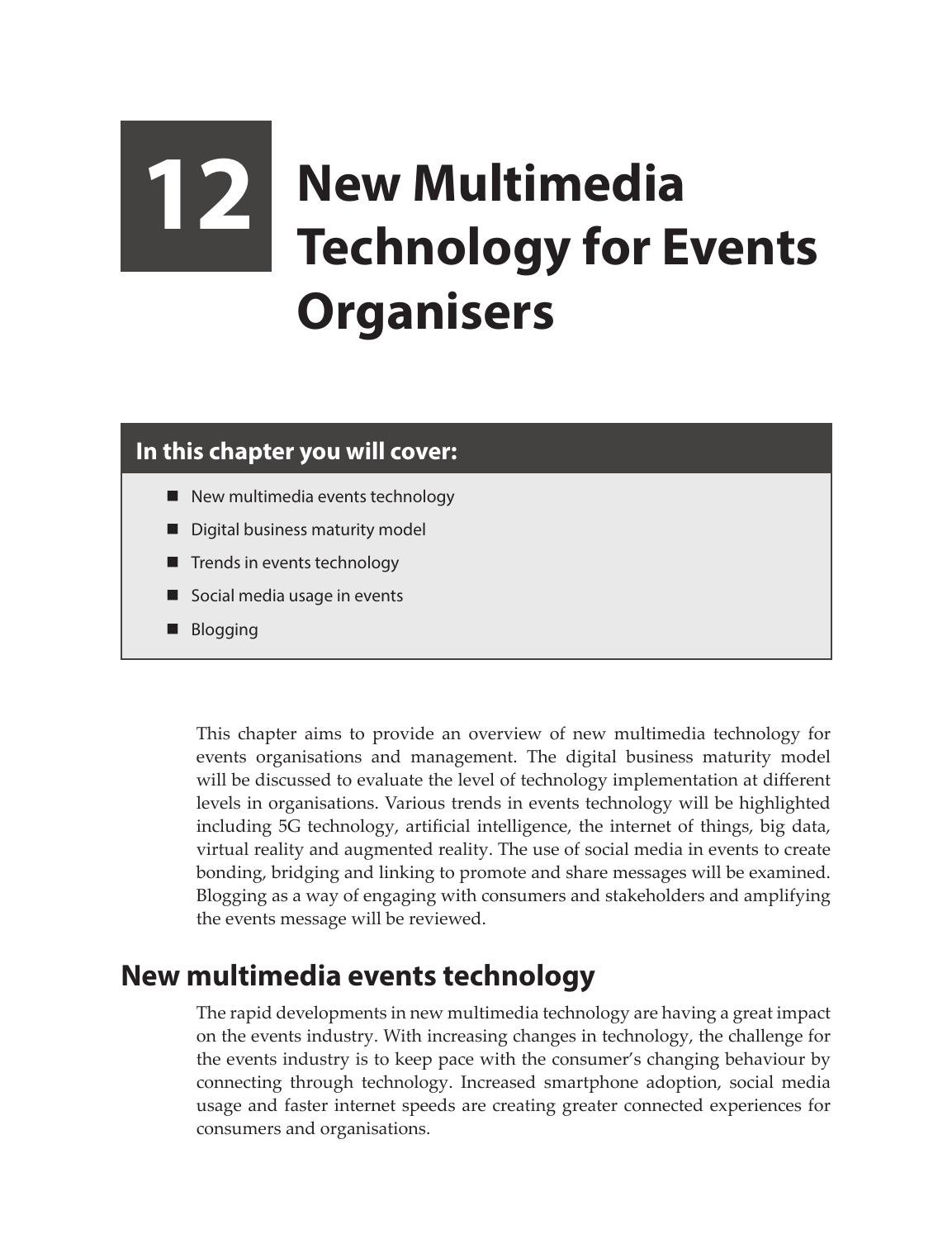# **12 New Multimedia Technology for Events Organisers**

#### **In this chapter you will cover:**

- $\blacksquare$  New multimedia events technology
- Digital business maturity model
- **Trends in events technology**
- Social media usage in events
- **Blogging**

This chapter aims to provide an overview of new multimedia technology for events organisations and management. The digital business maturity model will be discussed to evaluate the level of technology implementation at different levels in organisations. Various trends in events technology will be highlighted including 5G technology, artificial intelligence, the internet of things, big data, virtual reality and augmented reality. The use of social media in events to create bonding, bridging and linking to promote and share messages will be examined. Blogging as a way of engaging with consumers and stakeholders and amplifying the events message will be reviewed.

## **New multimedia events technology**

The rapid developments in new multimedia technology are having a great impact on the events industry. With increasing changes in technology, the challenge for the events industry is to keep pace with the consumer's changing behaviour by connecting through technology. Increased smartphone adoption, social media usage and faster internet speeds are creating greater connected experiences for consumers and organisations.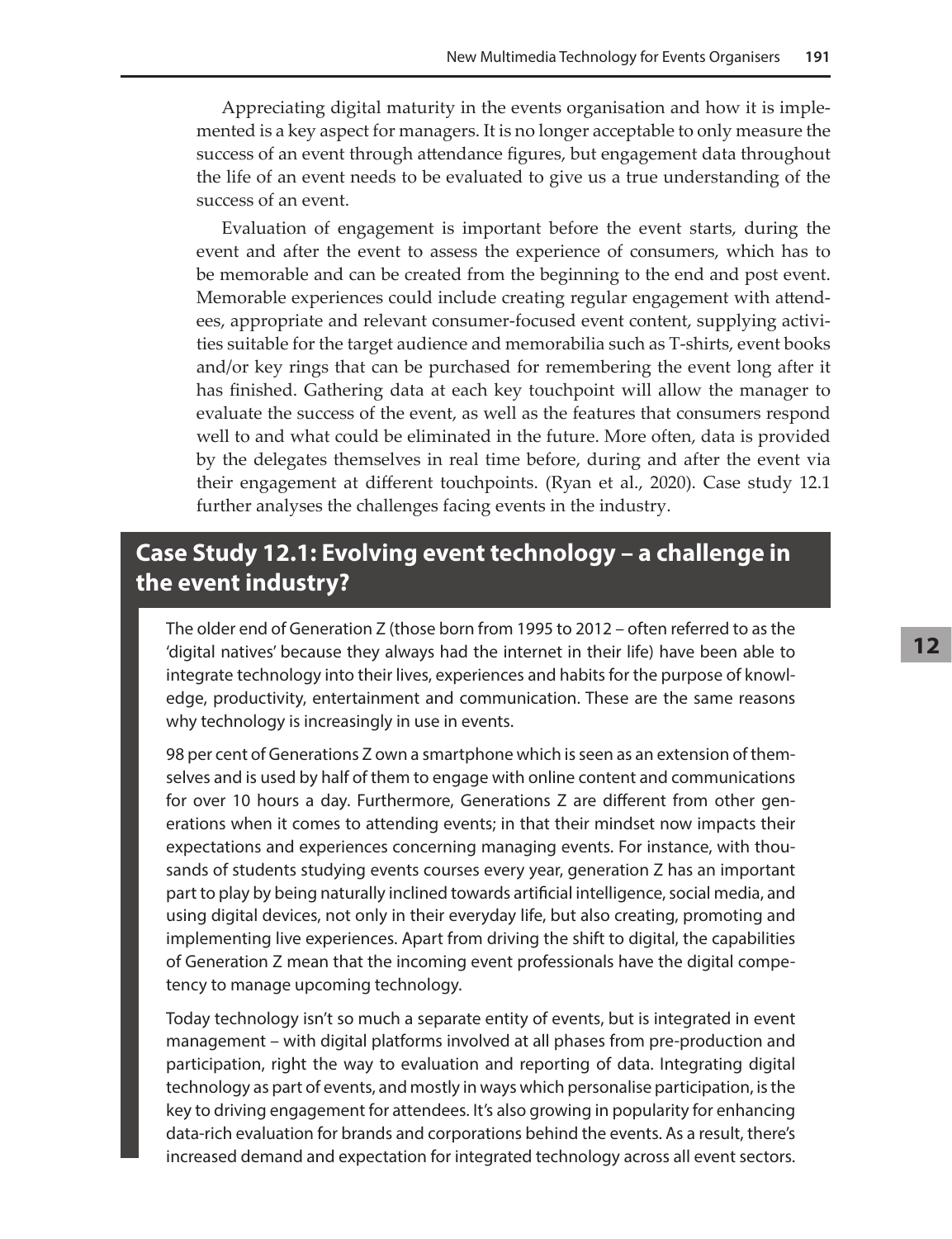Appreciating digital maturity in the events organisation and how it is implemented is a key aspect for managers. It is no longer acceptable to only measure the success of an event through attendance figures, but engagement data throughout the life of an event needs to be evaluated to give us a true understanding of the success of an event.

Evaluation of engagement is important before the event starts, during the event and after the event to assess the experience of consumers, which has to be memorable and can be created from the beginning to the end and post event. Memorable experiences could include creating regular engagement with attendees, appropriate and relevant consumer-focused event content, supplying activities suitable for the target audience and memorabilia such as T-shirts, event books and/or key rings that can be purchased for remembering the event long after it has finished. Gathering data at each key touchpoint will allow the manager to evaluate the success of the event, as well as the features that consumers respond well to and what could be eliminated in the future. More often, data is provided by the delegates themselves in real time before, during and after the event via their engagement at different touchpoints. (Ryan et al., 2020). Case study 12.1 further analyses the challenges facing events in the industry.

### **Case Study 12.1: Evolving event technology – a challenge in the event industry?**

The older end of Generation Z (those born from 1995 to 2012 – often referred to as the 'digital natives' because they always had the internet in their life) have been able to integrate technology into their lives, experiences and habits for the purpose of knowledge, productivity, entertainment and communication. These are the same reasons why technology is increasingly in use in events.

98 per cent of Generations Z own a smartphone which is seen as an extension of themselves and is used by half of them to engage with online content and communications for over 10 hours a day. Furthermore, Generations Z are different from other generations when it comes to attending events; in that their mindset now impacts their expectations and experiences concerning managing events. For instance, with thousands of students studying events courses every year, generation Z has an important part to play by being naturally inclined towards artificial intelligence, social media, and using digital devices, not only in their everyday life, but also creating, promoting and implementing live experiences. Apart from driving the shift to digital, the capabilities of Generation Z mean that the incoming event professionals have the digital competency to manage upcoming technology.

Today technology isn't so much a separate entity of events, but is integrated in event management – with digital platforms involved at all phases from pre-production and participation, right the way to evaluation and reporting of data. Integrating digital technology as part of events, and mostly in ways which personalise participation, is the key to driving engagement for attendees. It's also growing in popularity for enhancing data-rich evaluation for brands and corporations behind the events. As a result, there's increased demand and expectation for integrated technology across all event sectors.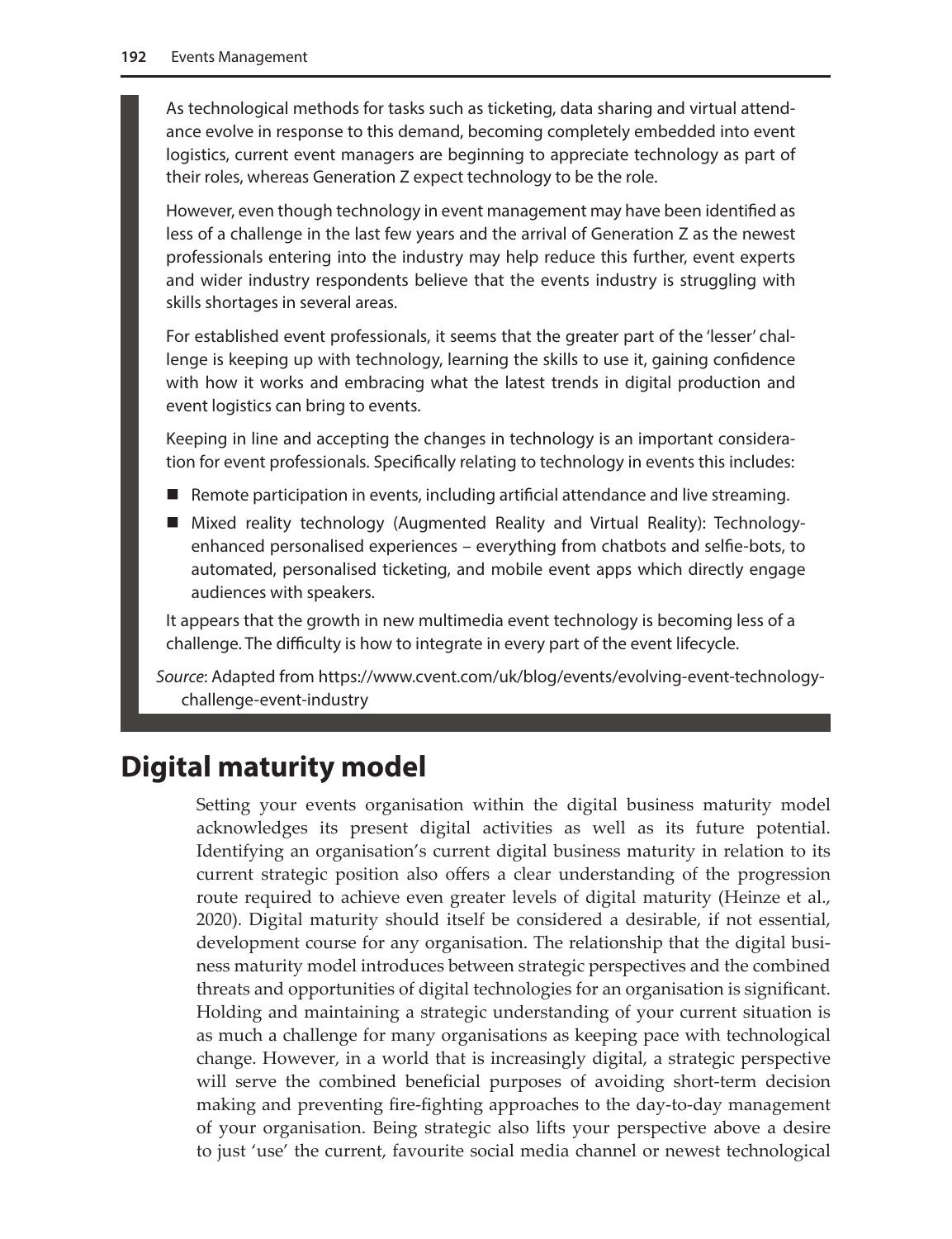As technological methods for tasks such as ticketing, data sharing and virtual attendance evolve in response to this demand, becoming completely embedded into event logistics, current event managers are beginning to appreciate technology as part of their roles, whereas Generation Z expect technology to be the role.

However, even though technology in event management may have been identified as less of a challenge in the last few years and the arrival of Generation Z as the newest professionals entering into the industry may help reduce this further, event experts and wider industry respondents believe that the events industry is struggling with skills shortages in several areas.

For established event professionals, it seems that the greater part of the 'lesser' challenge is keeping up with technology, learning the skills to use it, gaining confidence with how it works and embracing what the latest trends in digital production and event logistics can bring to events.

Keeping in line and accepting the changes in technology is an important consideration for event professionals. Specifically relating to technology in events this includes:

- Remote participation in events, including artificial attendance and live streaming.
- Mixed reality technology (Augmented Reality and Virtual Reality): Technologyenhanced personalised experiences – everything from chatbots and selfie-bots, to automated, personalised ticketing, and mobile event apps which directly engage audiences with speakers.

It appears that the growth in new multimedia event technology is becoming less of a challenge. The difficulty is how to integrate in every part of the event lifecycle.

*Source*: Adapted from https://www.cvent.com/uk/blog/events/evolving-event-technologychallenge-event-industry

# **Digital maturity model**

Setting your events organisation within the digital business maturity model acknowledges its present digital activities as well as its future potential. Identifying an organisation's current digital business maturity in relation to its current strategic position also offers a clear understanding of the progression route required to achieve even greater levels of digital maturity (Heinze et al., 2020). Digital maturity should itself be considered a desirable, if not essential, development course for any organisation. The relationship that the digital business maturity model introduces between strategic perspectives and the combined threats and opportunities of digital technologies for an organisation is significant. Holding and maintaining a strategic understanding of your current situation is as much a challenge for many organisations as keeping pace with technological change. However, in a world that is increasingly digital, a strategic perspective will serve the combined beneficial purposes of avoiding short-term decision making and preventing fire-fighting approaches to the day-to-day management of your organisation. Being strategic also lifts your perspective above a desire to just 'use' the current, favourite social media channel or newest technological